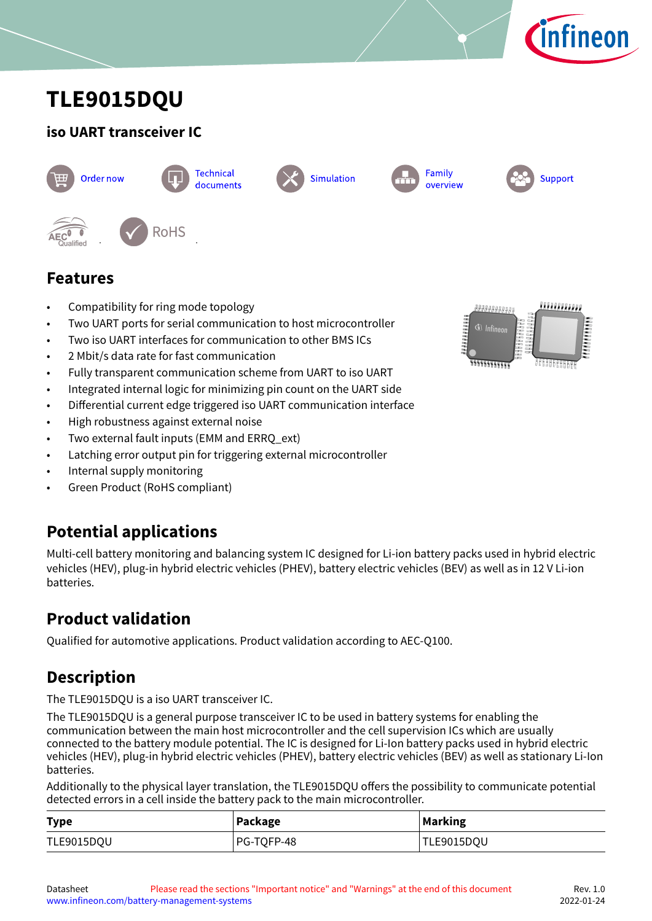

# <span id="page-0-0"></span>**TLE9015DQU**

### **iso UART transceiver IC**









Family overview



**Features**

- Compatibility for ring mode topology
- Two UART ports for serial communication to host microcontroller
- Two iso UART interfaces for communication to other BMS ICs
- 2 Mbit/s data rate for fast communication
- Fully transparent communication scheme from UART to iso UART
- Integrated internal logic for minimizing pin count on the UART side
- Differential current edge triggered iso UART communication interface
- High robustness against external noise
- Two external fault inputs (EMM and ERRO ext)
- Latching error output pin for triggering external microcontroller
- Internal supply monitoring
- Green Product (RoHS compliant)

# **Potential applications**

Multi-cell battery monitoring and balancing system IC designed for Li-ion battery packs used in hybrid electric vehicles (HEV), plug-in hybrid electric vehicles (PHEV), battery electric vehicles (BEV) as well as in 12 V Li-ion batteries.

# **Product validation**

Qualified for automotive applications. Product validation according to AEC-Q100.

# **Description**

The TLE9015DQU is a iso UART transceiver IC.

The TLE9015DQU is a general purpose transceiver IC to be used in battery systems for enabling the communication between the main host microcontroller and the cell supervision ICs which are usually connected to the battery module potential. The IC is designed for Li-Ion battery packs used in hybrid electric vehicles (HEV), plug-in hybrid electric vehicles (PHEV), battery electric vehicles (BEV) as well as stationary Li-Ion batteries.

Additionally to the physical layer translation, the TLE9015DQU offers the possibility to communicate potential detected errors in a cell inside the battery pack to the main microcontroller.

| <b>Type</b> | Package    | <b>Marking</b> |
|-------------|------------|----------------|
| TLE9015DQU  | PG-TOFP-48 | TLE9015DQU     |

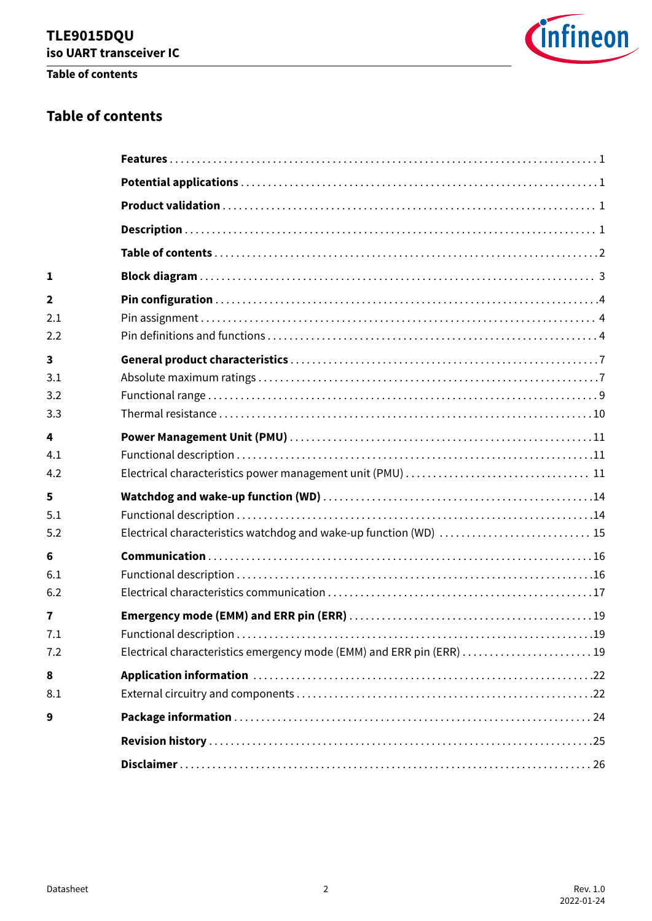### **Table of contents**



### **Table of contents**

| 1                       |                                                                      |
|-------------------------|----------------------------------------------------------------------|
| $\overline{\mathbf{2}}$ |                                                                      |
| 2.1                     |                                                                      |
| 2.2                     |                                                                      |
| 3                       |                                                                      |
| 3.1                     |                                                                      |
| 3.2                     |                                                                      |
| 3.3                     |                                                                      |
| 4                       |                                                                      |
| 4.1                     |                                                                      |
| 4.2                     |                                                                      |
| 5                       |                                                                      |
| 5.1                     |                                                                      |
| 5.2                     | Electrical characteristics watchdog and wake-up function (WD)  15    |
| 6                       |                                                                      |
| 6.1                     |                                                                      |
| 6.2                     |                                                                      |
| $\overline{7}$          |                                                                      |
| 7.1                     |                                                                      |
| 7.2                     | Electrical characteristics emergency mode (EMM) and ERR pin (ERR) 19 |
| 8                       |                                                                      |
| 8.1                     |                                                                      |
| 9                       |                                                                      |
|                         |                                                                      |
|                         |                                                                      |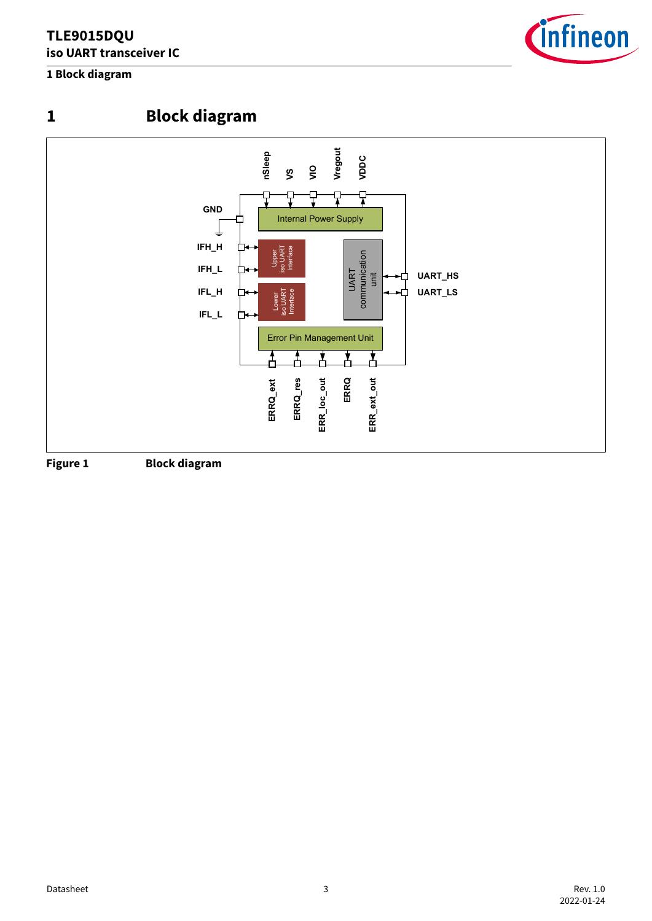### <span id="page-2-0"></span>**1 Block diagram**





**1 Block diagram**





**Figure 1 Block diagram**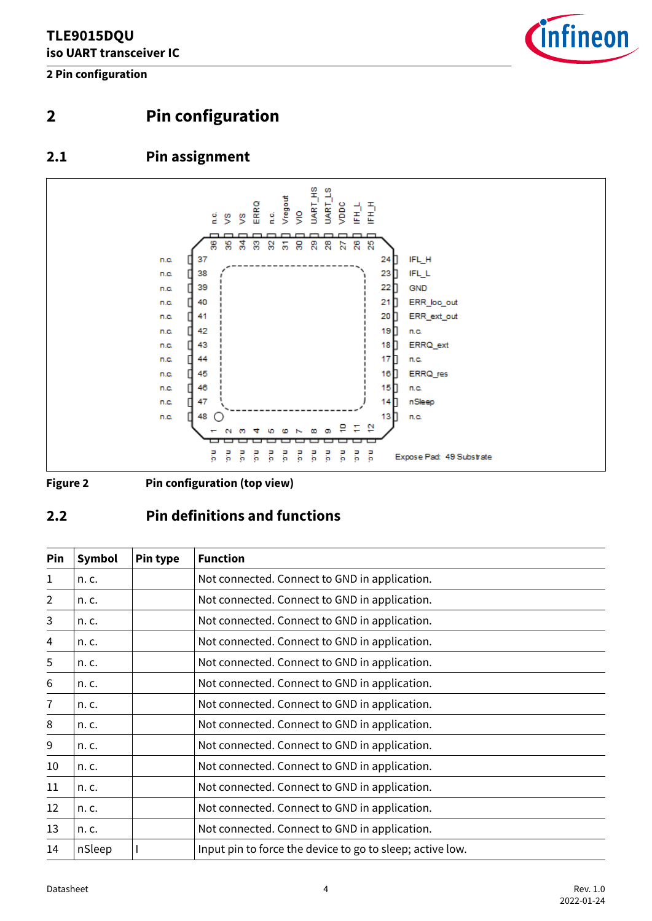<span id="page-3-0"></span>**2 Pin configuration**



### **2 Pin configuration**

### **2.1 Pin assignment**



**Figure 2 Pin configuration (top view)**

### **2.2 Pin definitions and functions**

| Pin            | <b>Symbol</b> | Pin type | <b>Function</b>                                           |
|----------------|---------------|----------|-----------------------------------------------------------|
| 1              | n. c.         |          | Not connected. Connect to GND in application.             |
| $\overline{2}$ | n. c.         |          | Not connected. Connect to GND in application.             |
| 3              | n. c.         |          | Not connected. Connect to GND in application.             |
| 4              | n. c.         |          | Not connected. Connect to GND in application.             |
| 5              | n. c.         |          | Not connected. Connect to GND in application.             |
| 6              | n. c.         |          | Not connected. Connect to GND in application.             |
| $\overline{7}$ | n. c.         |          | Not connected. Connect to GND in application.             |
| 8              | n. c.         |          | Not connected. Connect to GND in application.             |
| 9              | n. c.         |          | Not connected. Connect to GND in application.             |
| 10             | n. c.         |          | Not connected. Connect to GND in application.             |
| 11             | n. c.         |          | Not connected. Connect to GND in application.             |
| 12             | n. c.         |          | Not connected. Connect to GND in application.             |
| 13             | n. c.         |          | Not connected. Connect to GND in application.             |
| 14             | nSleep        |          | Input pin to force the device to go to sleep; active low. |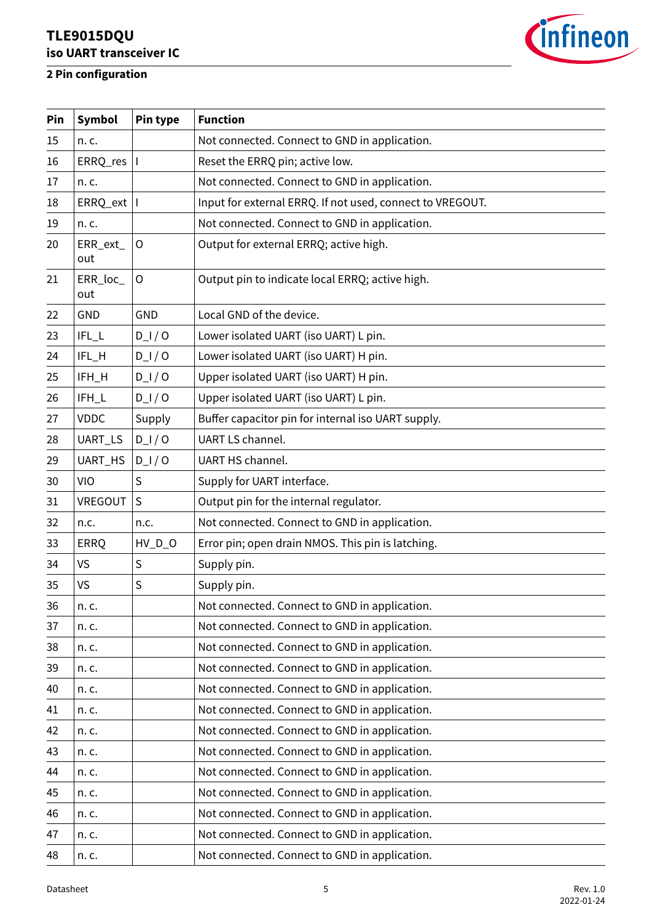



| Pin | Symbol          | Pin type     | <b>Function</b>                                           |
|-----|-----------------|--------------|-----------------------------------------------------------|
| 15  | n. c.           |              | Not connected. Connect to GND in application.             |
| 16  | ERRQ,res        | $\mathbf{I}$ | Reset the ERRQ pin; active low.                           |
| 17  | n. c.           |              | Not connected. Connect to GND in application.             |
| 18  | ERRQ_ext        | I.           | Input for external ERRQ. If not used, connect to VREGOUT. |
| 19  | n. c.           |              | Not connected. Connect to GND in application.             |
| 20  | ERR_ext_<br>out | $\circ$      | Output for external ERRQ; active high.                    |
| 21  | ERR_loc_<br>out | $\circ$      | Output pin to indicate local ERRQ; active high.           |
| 22  | GND             | <b>GND</b>   | Local GND of the device.                                  |
| 23  | $IFL_L$         | $D_l / O$    | Lower isolated UART (iso UART) L pin.                     |
| 24  | IFL_H           | $D_l / O$    | Lower isolated UART (iso UART) H pin.                     |
| 25  | IFH_H           | $D_l / O$    | Upper isolated UART (iso UART) H pin.                     |
| 26  | IFH_L           | $D_l / O$    | Upper isolated UART (iso UART) L pin.                     |
| 27  | <b>VDDC</b>     | Supply       | Buffer capacitor pin for internal iso UART supply.        |
| 28  | UART_LS         | $D_l / O$    | UART LS channel.                                          |
| 29  | UART_HS         | $D_l / O$    | UART HS channel.                                          |
| 30  | VIO             | S            | Supply for UART interface.                                |
| 31  | VREGOUT         | S            | Output pin for the internal regulator.                    |
| 32  | n.c.            | n.c.         | Not connected. Connect to GND in application.             |
| 33  | <b>ERRQ</b>     | $HV\_D_O$    | Error pin; open drain NMOS. This pin is latching.         |
| 34  | <b>VS</b>       | $\sf S$      | Supply pin.                                               |
| 35  | <b>VS</b>       | S            | Supply pin.                                               |
| 36  | n. c.           |              | Not connected. Connect to GND in application.             |
| 37  | n. c.           |              | Not connected. Connect to GND in application.             |
| 38  | n. c.           |              | Not connected. Connect to GND in application.             |
| 39  | n. c.           |              | Not connected. Connect to GND in application.             |
| 40  | n. c.           |              | Not connected. Connect to GND in application.             |
| 41  | n. c.           |              | Not connected. Connect to GND in application.             |
| 42  | n. c.           |              | Not connected. Connect to GND in application.             |
| 43  | n. c.           |              | Not connected. Connect to GND in application.             |
| 44  | n. c.           |              | Not connected. Connect to GND in application.             |
| 45  | n. c.           |              | Not connected. Connect to GND in application.             |
| 46  | n. c.           |              | Not connected. Connect to GND in application.             |
| 47  | n. c.           |              | Not connected. Connect to GND in application.             |
| 48  | n. c.           |              | Not connected. Connect to GND in application.             |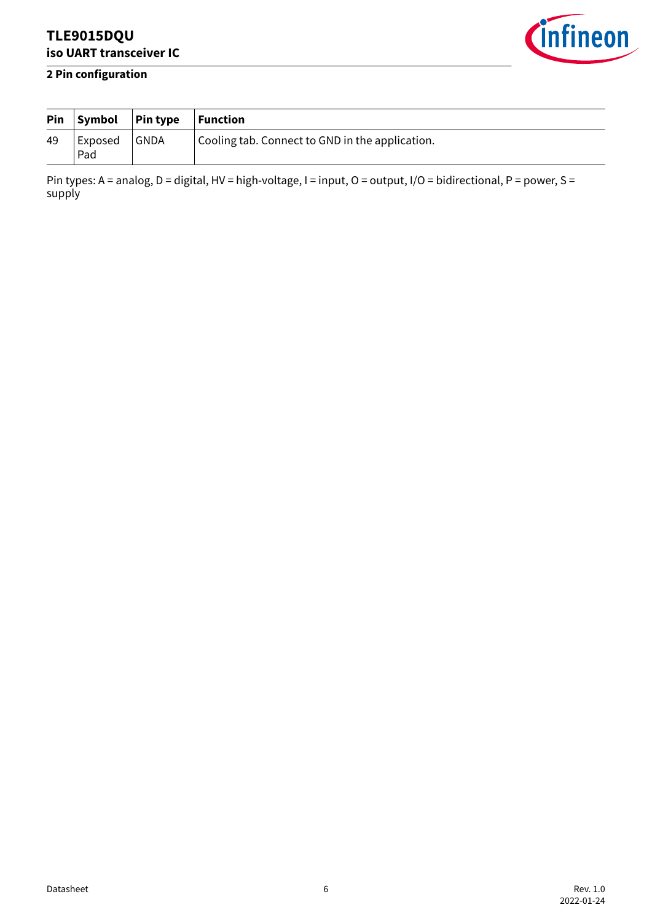

### **2 Pin configuration**

|    | $Pin$ Symbol $ Pin$ type |        | $\vert$ Function                                |
|----|--------------------------|--------|-------------------------------------------------|
| 49 | Exposed<br>Pad           | ∣ GNDA | Cooling tab. Connect to GND in the application. |

Pin types: A = analog, D = digital, HV = high-voltage, I = input, O = output, I/O = bidirectional, P = power, S = supply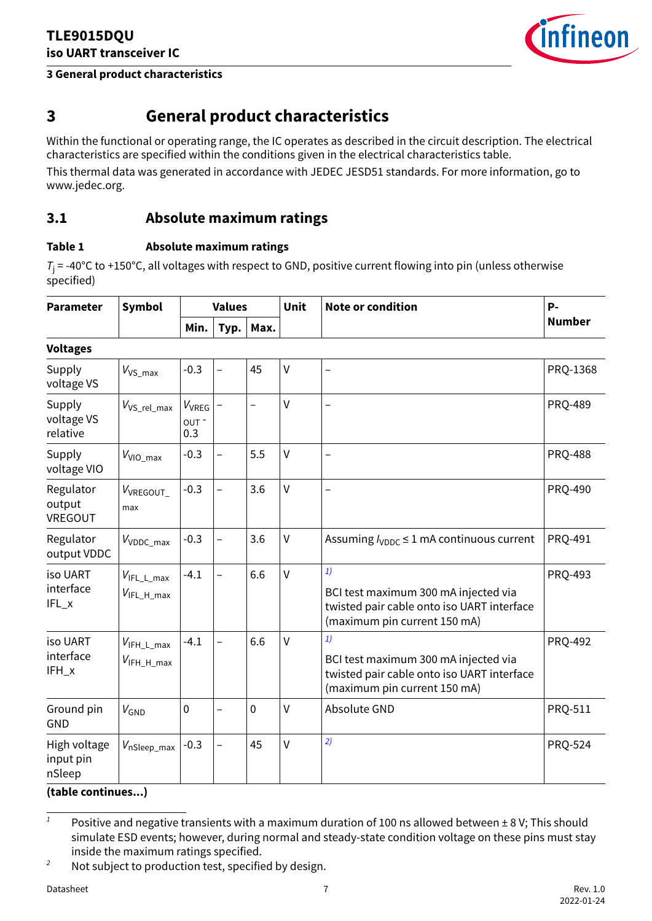### <span id="page-6-0"></span>**3 General product characteristics**



### **3 General product characteristics**

Within the functional or operating range, the IC operates as described in the circuit description. The electrical characteristics are specified within the conditions given in the electrical characteristics table.

This thermal data was generated in accordance with JEDEC JESD51 standards. For more information, go to www.jedec.org.

### **3.1 Absolute maximum ratings**

### **Table 1 Absolute maximum ratings**

*T*j = -40°C to +150°C, all voltages with respect to GND, positive current flowing into pin (unless otherwise specified)

| <b>Parameter</b>                    | Symbol                                            | <b>Values</b>             |                          |                          | Unit         | <b>Note or condition</b>                                                                                                 | p.             |
|-------------------------------------|---------------------------------------------------|---------------------------|--------------------------|--------------------------|--------------|--------------------------------------------------------------------------------------------------------------------------|----------------|
|                                     |                                                   | Min.                      | Typ.                     | Max.                     |              |                                                                                                                          | <b>Number</b>  |
| <b>Voltages</b>                     |                                                   |                           |                          |                          |              |                                                                                                                          |                |
| Supply<br>voltage VS                | $V_{VS_{max}}$                                    | $-0.3$                    | $\overline{\phantom{0}}$ | 45                       | V            | $\overline{\phantom{0}}$                                                                                                 | PRQ-1368       |
| Supply<br>voltage VS<br>relative    | $V_{VS_{rel,max}}$                                | $V_{VREG}$<br>OUT-<br>0.3 |                          | $\overline{\phantom{0}}$ | V            | $\overline{\phantom{0}}$                                                                                                 | <b>PRQ-489</b> |
| Supply<br>voltage VIO               | $V_{VIO\_max}$                                    | $-0.3$                    | $\overline{a}$           | 5.5                      | V            | $\overline{\phantom{0}}$                                                                                                 | <b>PRQ-488</b> |
| Regulator<br>output<br>VREGOUT      | V <sub>VREGOUT</sub><br>max                       | $-0.3$                    | $\overline{\phantom{0}}$ | 3.6                      | $\vee$       |                                                                                                                          | <b>PRQ-490</b> |
| Regulator<br>output VDDC            | $V_{\text{VDDC\_max}}$                            | $-0.3$                    | $\overline{\phantom{0}}$ | 3.6                      | V            | Assuming $l_{\text{VDDC}} \leq 1$ mA continuous current                                                                  | <b>PRQ-491</b> |
| iso UART<br>interface<br>$IFL_x$    | $V_{\text{IFL\_L\_max}}$<br>$V_{\text{IFL_Hmax}}$ | $-4.1$                    | $\overline{\phantom{0}}$ | 6.6                      | $\vee$       | 1)<br>BCI test maximum 300 mA injected via<br>twisted pair cable onto iso UART interface<br>(maximum pin current 150 mA) | <b>PRQ-493</b> |
| iso UART<br>interface<br>IFH_x      | $V_{IFH\_L\_max}$<br>$V_{IFH_H_{max}}$            | $-4.1$                    | $\overline{\phantom{0}}$ | 6.6                      | $\mathsf{V}$ | 1)<br>BCI test maximum 300 mA injected via<br>twisted pair cable onto iso UART interface<br>(maximum pin current 150 mA) | <b>PRQ-492</b> |
| Ground pin<br><b>GND</b>            | $V_{GND}$                                         | $\mathbf 0$               | $\overline{\phantom{0}}$ | $\mathbf 0$              | $\vee$       | Absolute GND                                                                                                             | PRQ-511        |
| High voltage<br>input pin<br>nSleep | $V_{\text{nSleep\_max}}$                          | $-0.3$                    | $\overline{\phantom{0}}$ | 45                       | V            | 2)                                                                                                                       | <b>PRQ-524</b> |

<sup>&</sup>lt;sup>1</sup> Positive and negative transients with a maximum duration of 100 ns allowed between  $\pm 8$  V; This should simulate ESD events; however, during normal and steady-state condition voltage on these pins must stay inside the maximum ratings specified.

<sup>&</sup>lt;sup>2</sup> Not subject to production test, specified by design.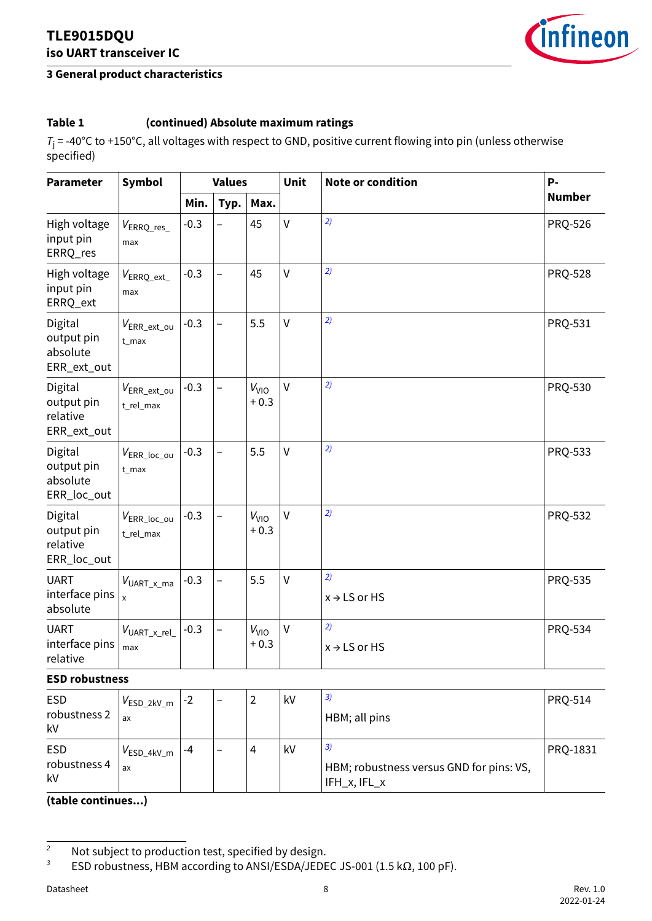### **3 General product characteristics**



### **Table 1 (continued) Absolute maximum ratings**

*T*j = -40°C to +150°C, all voltages with respect to GND, positive current flowing into pin (unless otherwise specified)

| <b>Parameter</b>                                 | Symbol                               |        | <b>Values</b>            |                           | Unit         | <b>Note or condition</b>       | P-             |
|--------------------------------------------------|--------------------------------------|--------|--------------------------|---------------------------|--------------|--------------------------------|----------------|
|                                                  |                                      | Min.   | Typ.                     | Max.                      |              |                                | <b>Number</b>  |
| High voltage<br>input pin<br>ERRQ_res            | $V_{\rm ERRQ\_res\_}$<br>max         | $-0.3$ |                          | 45                        | $\mathsf{V}$ | 2)                             | <b>PRQ-526</b> |
| High voltage<br>input pin<br>ERRQ_ext            | $V_{\sf{ERRQ\_ext\_}}$<br>max        | $-0.3$ | $\overline{\phantom{0}}$ | 45                        | $\mathsf{V}$ | 2)                             | <b>PRQ-528</b> |
| Digital<br>output pin<br>absolute<br>ERR_ext_out | $V_{\sf{ERR\_ext\_ou}}$<br>$t_{max}$ | $-0.3$ | $\overline{\phantom{0}}$ | 5.5                       | $\vee$       | 2)                             | PRQ-531        |
| Digital<br>output pin<br>relative<br>ERR_ext_out | $V_{\sf{ERR\_ext\_ou}}$<br>t_rel_max | $-0.3$ | $\qquad \qquad -$        | $V_{VIO}$<br>$+0.3$       | $\vee$       | 2)                             | PRQ-530        |
| Digital<br>output pin<br>absolute<br>ERR_loc_out | $V_{\sf{ERR\_loc\_ou}}$<br>$t_{max}$ | $-0.3$ | $\overline{\phantom{0}}$ | 5.5                       | $\vee$       | 2)                             | PRQ-533        |
| Digital<br>output pin<br>relative<br>ERR_loc_out | $V_{\sf{ERR\_loc\_ou}}$<br>t_rel_max | $-0.3$ | $\overline{\phantom{0}}$ | V <sub>VO</sub><br>$+0.3$ | $\vee$       | 2)                             | <b>PRQ-532</b> |
| <b>UART</b><br>interface pins<br>absolute        | $V_{\text{UART\_x\_ma}}$             | $-0.3$ | $\overline{\phantom{0}}$ | 5.5                       | $\mathsf{V}$ | 2)<br>$x \rightarrow$ LS or HS | PRQ-535        |
| <b>UART</b><br>interface pins<br>relative        | $V_{\text{UART\_x\_rel\_}}$<br>max   | $-0.3$ | $\overline{\phantom{0}}$ | $V_{VIO}$<br>$+0.3$       | V            | 2)<br>$x \rightarrow$ LS or HS | PRQ-534        |
| <b>ECD</b> robuctnoss                            |                                      |        |                          |                           |              |                                |                |

#### **ESD robustness**

| <b>ESD</b><br>robustness 2<br>kV | $V_{\textsf{ESD\_2kV\_m}}$<br>ax | $-2$ | - | ົາ<br>∠ | kV | 3)<br>HBM; all pins                                            | <b>PRQ-514</b> |
|----------------------------------|----------------------------------|------|---|---------|----|----------------------------------------------------------------|----------------|
| <b>ESD</b><br>robustness 4<br>kV | $V_{\mathsf{ESD\_4kV\_m}}$<br>ax | -4   | - | 4       | kV | 3)<br>HBM; robustness versus GND for pins: VS,<br>IFH_x, IFL_x | PRQ-1831       |

<sup>&</sup>lt;sup>2</sup> Not subject to production test, specified by design.

*<sup>3</sup>* ESD robustness, HBM according to ANSI/ESDA/JEDEC JS-001 (1.5 kΩ, 100 pF).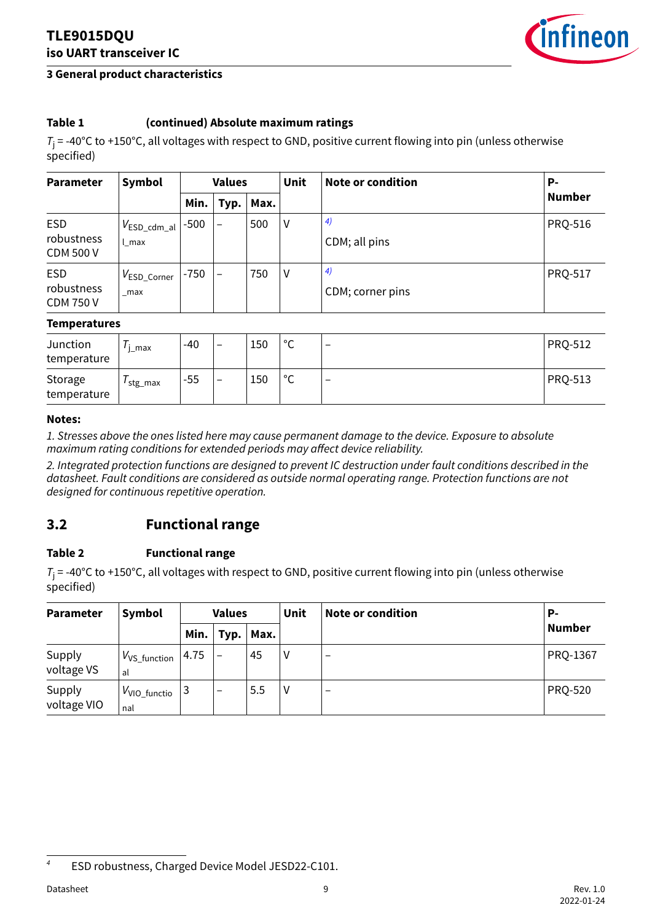

#### <span id="page-8-0"></span>**3 General product characteristics**

### **Table 1 (continued) Absolute maximum ratings**

*T*j = -40°C to +150°C, all voltages with respect to GND, positive current flowing into pin (unless otherwise specified)

| <b>Parameter</b>                             | Symbol                               | <b>Values</b> |                          |      | Unit | Note or condition      | Р-             |
|----------------------------------------------|--------------------------------------|---------------|--------------------------|------|------|------------------------|----------------|
|                                              |                                      | Min.          | Typ.                     | Max. |      |                        | <b>Number</b>  |
| <b>ESD</b><br>robustness<br><b>CDM 500 V</b> | $V_{\mathsf{ESD\_cdm\_al}}$<br>l max | $-500$        | $\overline{\phantom{0}}$ | 500  | V    | 4)<br>CDM; all pins    | <b>PRQ-516</b> |
| <b>ESD</b><br>robustness<br><b>CDM 750 V</b> | $V_{\mathsf{ESD\_Corner}}$<br>max    | $-750$        |                          | 750  | V    | 4)<br>CDM; corner pins | <b>PRQ-517</b> |

#### **Temperatures**

| Junction<br>temperature | max       | $-40$ | -                        | 150 | $\circ$<br>◡ | $\overline{\phantom{0}}$ | <b>PRQ-512</b> |
|-------------------------|-----------|-------|--------------------------|-----|--------------|--------------------------|----------------|
| Storage<br>temperature  | ′ stg_max | $-55$ | $\overline{\phantom{0}}$ | 150 | $\circ$<br>◡ | $\overline{\phantom{0}}$ | <b>PRQ-513</b> |

#### **Notes:**

*1. Stresses above the ones listed here may cause permanent damage to the device. Exposure to absolute maximum rating conditions for extended periods may affect device reliability.*

*2. Integrated protection functions are designed to prevent IC destruction under fault conditions described in the datasheet. Fault conditions are considered as outside normal operating range. Protection functions are not designed for continuous repetitive operation.*

### **3.2 Functional range**

#### **Table 2 Functional range**

*T*j = -40°C to +150°C, all voltages with respect to GND, positive current flowing into pin (unless otherwise specified)

| <b>Parameter</b>      | Symbol                          | <b>Values</b> |      |      | Unit | Note or condition        | Р-             |
|-----------------------|---------------------------------|---------------|------|------|------|--------------------------|----------------|
|                       |                                 | Min.          | Typ. | Max. |      |                          | <b>Number</b>  |
| Supply<br>voltage VS  | $V_{VS\_function}$<br>al        | 4.75          |      | 45   | ۷    | $\overline{\phantom{m}}$ | PRQ-1367       |
| Supply<br>voltage VIO | V <sub>VIO_functio</sub><br>nal |               | -    | 5.5  | ۷    | $\overline{\phantom{0}}$ | <b>PRQ-520</b> |

*<sup>4</sup>* ESD robustness, Charged Device Model JESD22-C101.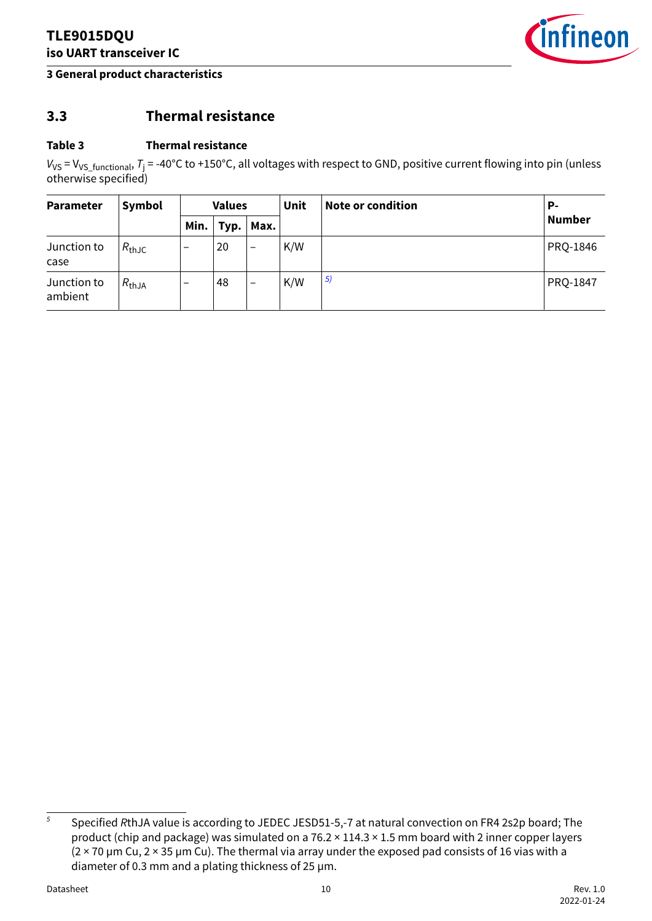

#### <span id="page-9-0"></span>**3 General product characteristics**

### **3.3 Thermal resistance**

#### **Table 3 Thermal resistance**

*V*vs = V<sub>VS\_functional, *T*j = -40°C to +150°C, all voltages with respect to GND, positive current flowing into pin (unless</sub> otherwise specified)

| Parameter              | Symbol            | <b>Values</b>            |      |                          | <b>Unit</b> | Note or condition | Р-       |
|------------------------|-------------------|--------------------------|------|--------------------------|-------------|-------------------|----------|
|                        |                   | Min.                     | Typ. | $ $ Max.                 |             |                   | Number   |
| Junction to<br>case    | $R_{\text{thJC}}$ | $\overline{\phantom{0}}$ | 20   | $\overline{\phantom{m}}$ | K/W         |                   | PRQ-1846 |
| Junction to<br>ambient | $R_{thJA}$        | $\overline{\phantom{m}}$ | 48   | $\overline{\phantom{m}}$ | K/W         | 5)                | PRQ-1847 |

*<sup>5</sup>* Specified *R*thJA value is according to JEDEC JESD51-5,-7 at natural convection on FR4 2s2p board; The product (chip and package) was simulated on a 76.2 × 114.3 × 1.5 mm board with 2 inner copper layers  $(2 \times 70 \,\mu m$  Cu, 2  $\times$  35  $\mu$ m Cu). The thermal via array under the exposed pad consists of 16 vias with a diameter of 0.3 mm and a plating thickness of 25 µm.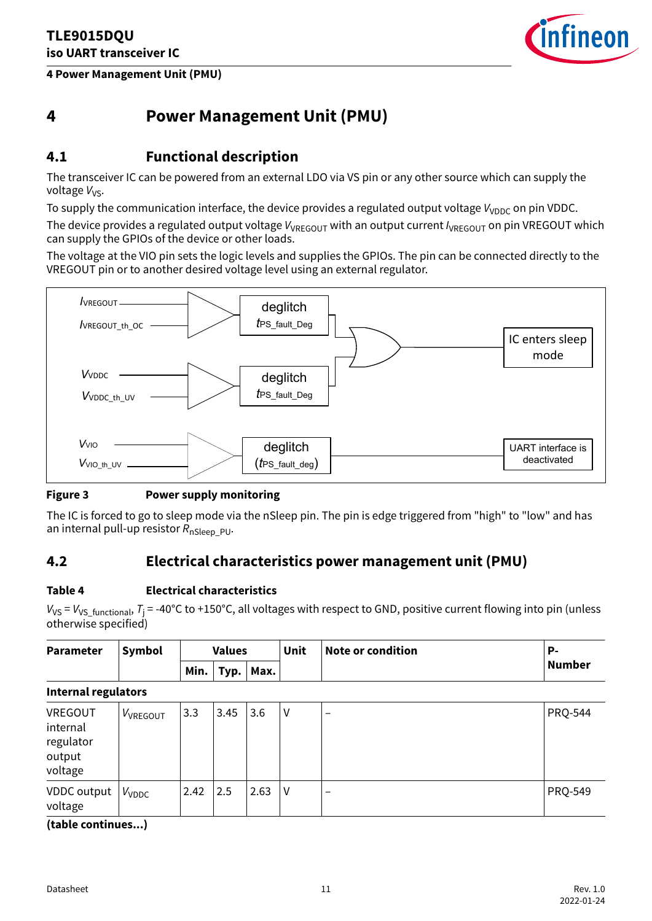<span id="page-10-0"></span>**4 Power Management Unit (PMU)**



### **4 Power Management Unit (PMU)**

### **4.1 Functional description**

The transceiver IC can be powered from an external LDO via VS pin or any other source which can supply the voltage V<sub>VS</sub>.

To supply the communication interface, the device provides a regulated output voltage  $V_{VDDC}$  on pin VDDC.

The device provides a regulated output voltage  $V_{VRFGOUT}$  with an output current  $I_{VRFGOUT}$  on pin VREGOUT which can supply the GPIOs of the device or other loads.

The voltage at the VIO pin sets the logic levels and supplies the GPIOs. The pin can be connected directly to the VREGOUT pin or to another desired voltage level using an external regulator.



#### **Figure 3 Power supply monitoring**

The IC is forced to go to sleep mode via the nSleep pin. The pin is edge triggered from "high" to "low" and has an internal pull-up resistor  $R_{\text{nSleep-PU}}$ .

### **4.2 Electrical characteristics power management unit (PMU)**

#### **Table 4 Electrical characteristics**

*V*vs = *V*vs\_<sub>functional, *T*<sub>j</sub> = -40°C to +150°C, all voltages with respect to GND, positive current flowing into pin (unless</sub> otherwise specified)

| <b>Parameter</b>                                      | Symbol                   |      | <b>Unit</b><br><b>Values</b> |      |   | <b>Note or condition</b> | <b>P-</b>      |  |  |  |  |  |
|-------------------------------------------------------|--------------------------|------|------------------------------|------|---|--------------------------|----------------|--|--|--|--|--|
|                                                       |                          | Min. | Typ.                         | Max. |   |                          | <b>Number</b>  |  |  |  |  |  |
| <b>Internal regulators</b>                            |                          |      |                              |      |   |                          |                |  |  |  |  |  |
| VREGOUT<br>internal<br>regulator<br>output<br>voltage | VVREGOUT                 | 3.3  | 3.45                         | 3.6  | V | $\qquad \qquad$          | <b>PRQ-544</b> |  |  |  |  |  |
| VDDC output<br>voltage                                | <b>V</b> <sub>VDDC</sub> | 2.42 | 2.5                          | 2.63 | V | $\qquad \qquad$          | <b>PRQ-549</b> |  |  |  |  |  |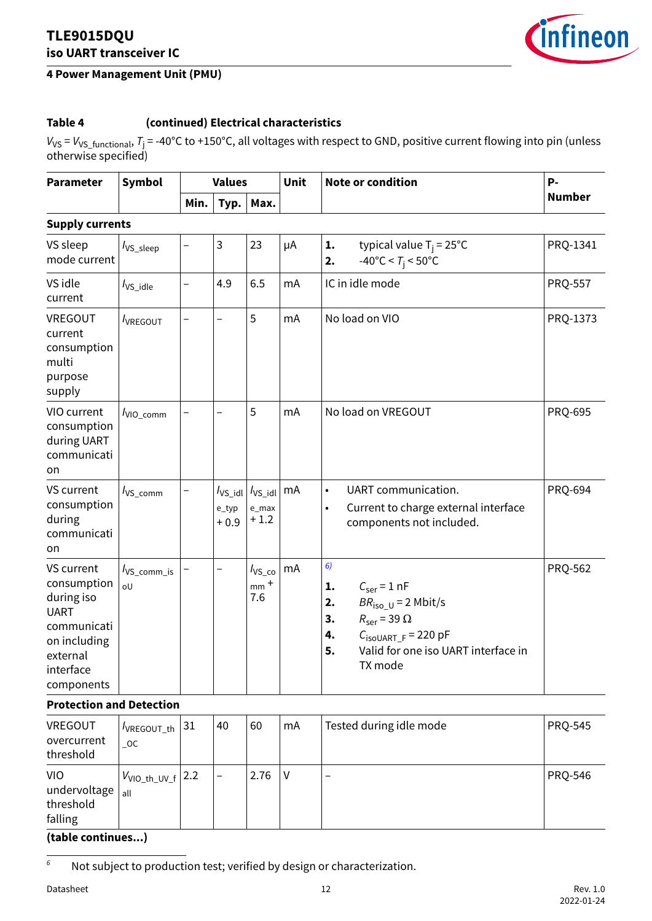#### <span id="page-11-0"></span>**4 Power Management Unit (PMU)**



### **Table 4 (continued) Electrical characteristics**

*V*vs = *V*vs\_functional, *T*j = -40°C to +150°C, all voltages with respect to GND, positive current flowing into pin (unless otherwise specified)

| <b>Parameter</b>                                                                                                             | Symbol                   |                          | <b>Values</b>                    |                                             | Unit    | <b>Note or condition</b>                                                                                                                                                                                                             | <b>P-</b>      |
|------------------------------------------------------------------------------------------------------------------------------|--------------------------|--------------------------|----------------------------------|---------------------------------------------|---------|--------------------------------------------------------------------------------------------------------------------------------------------------------------------------------------------------------------------------------------|----------------|
|                                                                                                                              |                          | Min.                     | Typ.                             | Max.                                        |         |                                                                                                                                                                                                                                      | <b>Number</b>  |
| <b>Supply currents</b>                                                                                                       |                          |                          |                                  |                                             |         |                                                                                                                                                                                                                                      |                |
| VS sleep<br>mode current                                                                                                     | $I_{VS\_sleep}$          | $\overline{\phantom{0}}$ | 3                                | 23                                          | $\mu$ A | 1.<br>typical value $T_i = 25^{\circ}C$<br>$-40^{\circ}$ C < T <sub>i</sub> < 50°C<br>2.                                                                                                                                             | PRQ-1341       |
| VS idle<br>current                                                                                                           | $I_{VS\_idle}$           | $\overline{\phantom{0}}$ | 4.9                              | 6.5                                         | mA      | IC in idle mode                                                                                                                                                                                                                      | <b>PRQ-557</b> |
| VREGOUT<br>current<br>consumption<br>multi<br>purpose<br>supply                                                              | <b>VREGOUT</b>           |                          |                                  | 5                                           | mA      | No load on VIO                                                                                                                                                                                                                       | PRQ-1373       |
| VIO current<br>consumption<br>during UART<br>communicati<br>on                                                               | VIO_comm                 |                          |                                  | 5                                           | mA      | No load on VREGOUT                                                                                                                                                                                                                   | <b>PRQ-695</b> |
| VS current<br>consumption<br>during<br>communicati<br>on                                                                     | $I_{VS\_comm}$           |                          | $I_{VS\_idl}$<br>e_typ<br>$+0.9$ | $I_{VS\_idl}$<br>e_max<br>$+1.2$            | mA      | UART communication.<br>$\bullet$<br>Current to charge external interface<br>$\bullet$<br>components not included.                                                                                                                    | <b>PRQ-694</b> |
| VS current<br>consumption<br>during iso<br><b>UART</b><br>communicati<br>on including<br>external<br>interface<br>components | $I_{VS\_comm\_is}$<br>oU |                          |                                  | $I_{\text{VS\_co}}$<br>$_{\sf mm}$ +<br>7.6 | mA      | 6)<br>$C_{\text{ser}} = 1 \text{ nF}$<br>1.<br>2.<br>$BR_{\text{iso U}} = 2 \text{ Mbit/s}$<br>$R_{\text{ser}}$ = 39 $\Omega$<br>3.<br>4.<br>$C_{\text{isoUART F}}$ = 220 pF<br>Valid for one iso UART interface in<br>5.<br>TX mode | PRQ-562        |

#### **Protection and Detection**

| VREGOUT<br>overcurrent<br>threshold                | $1$ $V$ REGOUT_th $ 31$<br>$\_OC$          | 40                       | 60   | mA | Tested during idle mode | <b>PRQ-545</b> |
|----------------------------------------------------|--------------------------------------------|--------------------------|------|----|-------------------------|----------------|
| <b>VIO</b><br>undervoltage<br>threshold<br>falling | $ V_{\textsf{VIO\_th\_UV\_f}} $ 2.2<br>all | $\overline{\phantom{0}}$ | 2.76 | V  |                         | <b>PRQ-546</b> |

#### **(table continues...)**

*<sup>6</sup>* Not subject to production test; verified by design or characterization.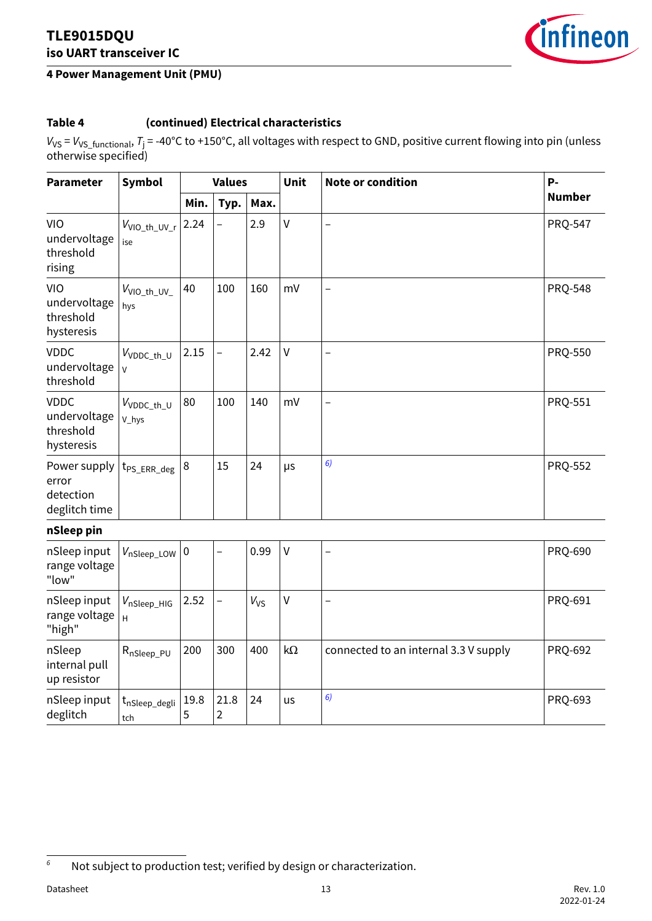### **4 Power Management Unit (PMU)**



### **Table 4 (continued) Electrical characteristics**

*V*vs = *V*vs\_functional, *T*j = -40°C to +150°C, all voltages with respect to GND, positive current flowing into pin (unless otherwise specified)

| <b>Parameter</b>                                       | Symbol                          |           | <b>Values</b>                   |          | Unit         | <b>Note or condition</b>              | P-             |
|--------------------------------------------------------|---------------------------------|-----------|---------------------------------|----------|--------------|---------------------------------------|----------------|
|                                                        |                                 | Min.      | Typ.                            | Max.     |              |                                       | <b>Number</b>  |
| VIO<br>undervoltage<br>threshold<br>rising             | V <sub>VIO_th_UV_r</sub><br>ise | 2.24      | $\overline{\phantom{0}}$        | 2.9      | $\mathsf{V}$ | $\overline{\phantom{0}}$              | <b>PRQ-547</b> |
| <b>VIO</b><br>undervoltage<br>threshold<br>hysteresis  | V <sub>VIO_th_UV_</sub><br>hys  | 40        | 100                             | 160      | mV           | $\overline{a}$                        | <b>PRQ-548</b> |
| <b>VDDC</b><br>undervoltage<br>threshold               | $V_{VDDC\_th\_U}$<br>V          | 2.15      | $\overline{a}$                  | 2.42     | $\mathsf{V}$ | $\overline{a}$                        | PRQ-550        |
| <b>VDDC</b><br>undervoltage<br>threshold<br>hysteresis | V <sub>VDDC_th_U</sub><br>V_hys | 80        | 100                             | 140      | mV           | $\overline{\phantom{0}}$              | PRQ-551        |
| Power supply<br>error<br>detection<br>deglitch time    | t <sub>PS_ERR_deg</sub>         | 8         | 15                              | 24       | μs           | 6)                                    | <b>PRQ-552</b> |
| nSleep pin                                             |                                 |           |                                 |          |              |                                       |                |
| nSleep input<br>range voltage<br>"low"                 | $V_{\text{nSleep\_LOW}}$        | 0         | $\overline{\phantom{0}}$        | 0.99     | $\mathsf{V}$ | $\overline{\phantom{0}}$              | PRQ-690        |
| nSleep input<br>range voltage<br>"high"                | VnSleep_HIG<br>H                | 2.52      | $\overline{\phantom{0}}$        | $V_{VS}$ | $\mathsf{V}$ | $\overline{a}$                        | PRQ-691        |
| nSleep<br>internal pull<br>up resistor                 | R <sub>nSleep_PU</sub>          | 200       | 300                             | 400      | $k\Omega$    | connected to an internal 3.3 V supply | PRQ-692        |
| nSleep input<br>deglitch                               | $t_{nSleep\_degli}$<br>tch      | 19.8<br>5 | 21.8<br>$\overline{\mathbf{c}}$ | 24       | us           | 6)                                    | PRQ-693        |

*<sup>6</sup>* Not subject to production test; verified by design or characterization.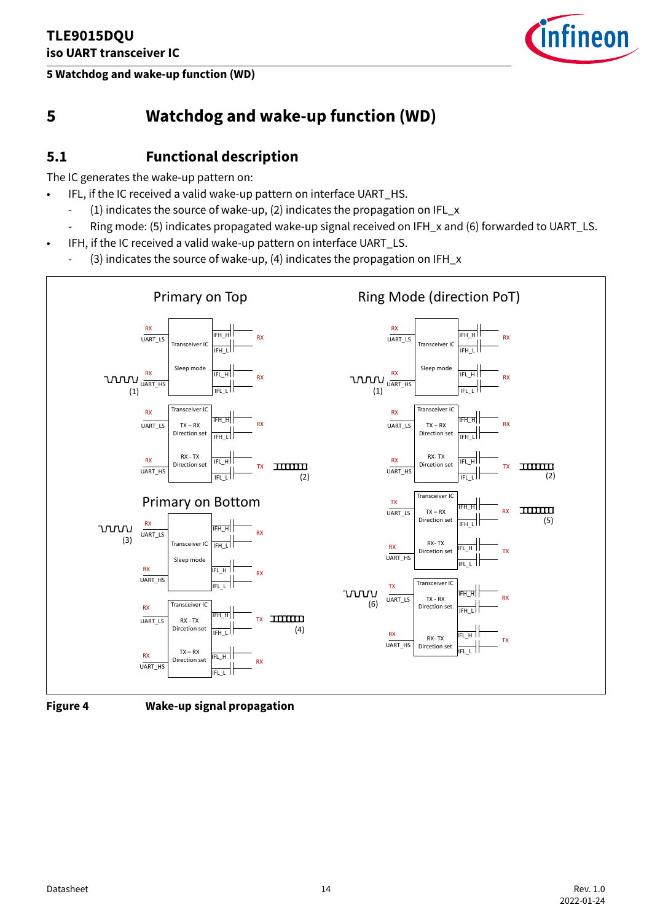<span id="page-13-0"></span>**5 Watchdog and wake-up function (WD)**



### **5 Watchdog and wake-up function (WD)**

### **5.1 Functional description**

The IC generates the wake-up pattern on:

- IFL, if the IC received a valid wake-up pattern on interface UART\_HS.
	- (1) indicates the source of wake-up, (2) indicates the propagation on IFL\_x
	- Ring mode: (5) indicates propagated wake-up signal received on IFH\_x and (6) forwarded to UART\_LS.
	- IFH, if the IC received a valid wake-up pattern on interface UART\_LS.
	- (3) indicates the source of wake-up, (4) indicates the propagation on IFH\_x





**Figure 4 Wake-up signal propagation**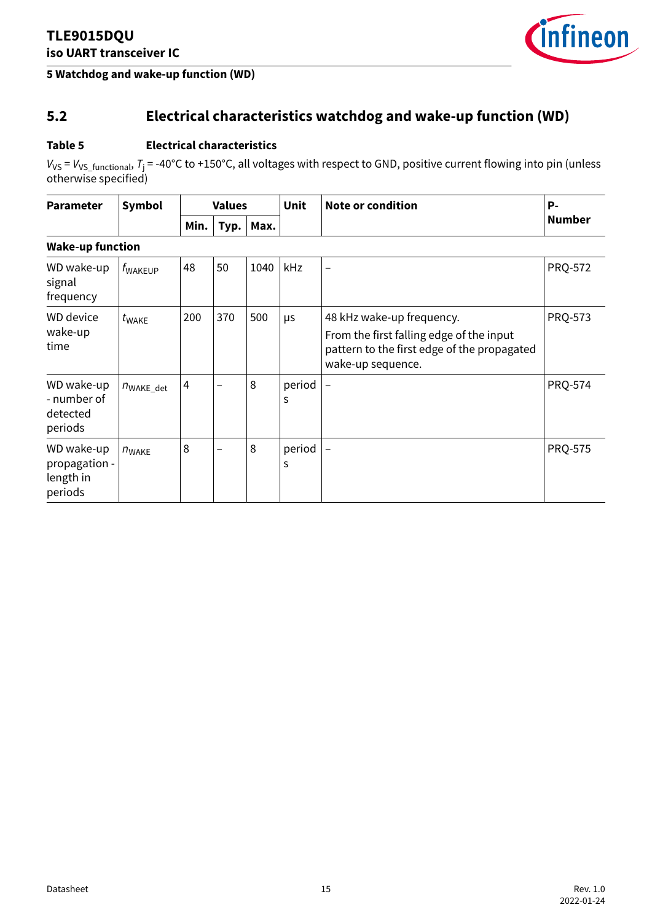

#### <span id="page-14-0"></span>**5 Watchdog and wake-up function (WD)**

### **5.2 Electrical characteristics watchdog and wake-up function (WD)**

#### **Table 5 Electrical characteristics**

*V*vs = *V*vs\_<sub>functional, *T*j = -40°C to +150°C, all voltages with respect to GND, positive current flowing into pin (unless</sub> otherwise specified)

| <b>Parameter</b> | Symbol                       |  | <b>Values</b>   |  | Unit | $\vert$ Note or condition | D. |
|------------------|------------------------------|--|-----------------|--|------|---------------------------|----|
|                  | Min. $ $<br>$^{\prime}$ Typ. |  | $\mathsf{Max.}$ |  |      | <b>Number</b>             |    |

### **Wake-up function**

| WD wake-up<br>signal<br>frequency                   | $f_{\text{WAKEUP}}$   | 48  | 50                       | 1040 | kHz         |                                                                                                                                           | <b>PRQ-572</b> |
|-----------------------------------------------------|-----------------------|-----|--------------------------|------|-------------|-------------------------------------------------------------------------------------------------------------------------------------------|----------------|
| <b>WD</b> device<br>wake-up<br>time                 | $t_{\text{WAKE}}$     | 200 | 370                      | 500  | μs          | 48 kHz wake-up frequency.<br>From the first falling edge of the input<br>pattern to the first edge of the propagated<br>wake-up sequence. | <b>PRQ-573</b> |
| WD wake-up<br>- number of<br>detected<br>periods    | $n_{\text{WAKE det}}$ | 4   | $\overline{\phantom{0}}$ | 8    | period<br>S |                                                                                                                                           | <b>PRQ-574</b> |
| WD wake-up<br>propagation -<br>length in<br>periods | $n_{\text{WAKE}}$     | 8   | $\overline{\phantom{0}}$ | 8    | period<br>S |                                                                                                                                           | <b>PRQ-575</b> |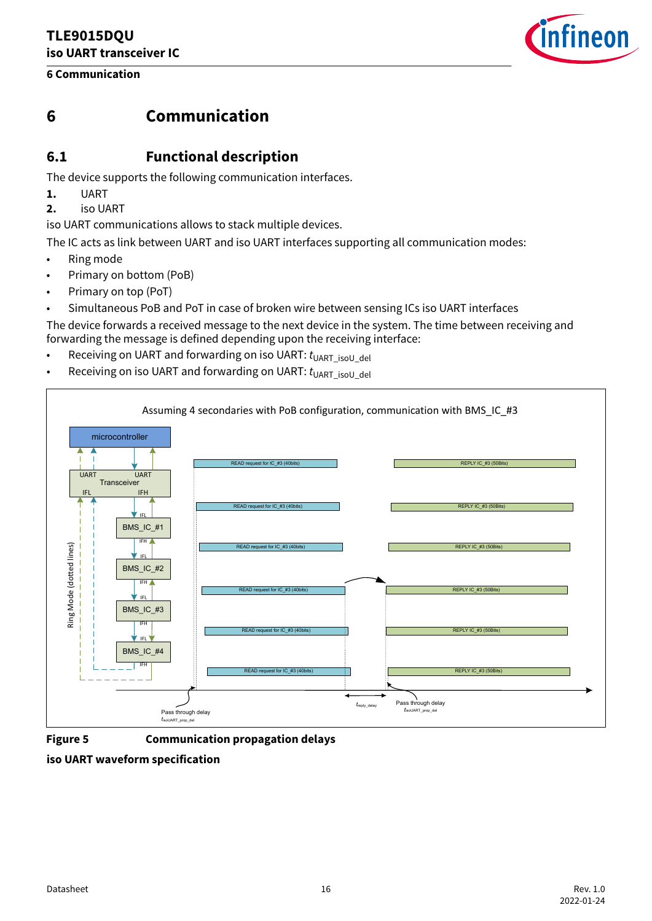### <span id="page-15-0"></span>**6 Communication**



### **6 Communication**

### **6.1 Functional description**

The device supports the following communication interfaces.

- **1.** UART
- **2.** iso UART

iso UART communications allows to stack multiple devices.

The IC acts as link between UART and iso UART interfaces supporting all communication modes:

- Ring mode
- Primary on bottom (PoB)
- Primary on top (PoT)
- Simultaneous PoB and PoT in case of broken wire between sensing ICs iso UART interfaces

The device forwards a received message to the next device in the system. The time between receiving and forwarding the message is defined depending upon the receiving interface:

- Receiving on UART and forwarding on iso UART:  $t_{\text{UART\_isol\_del}}$
- Receiving on iso UART and forwarding on UART: *t*<sub>UART</sub> isoU\_del</sub>



**iso UART waveform specification**

**Figure 5 Communication propagation delays**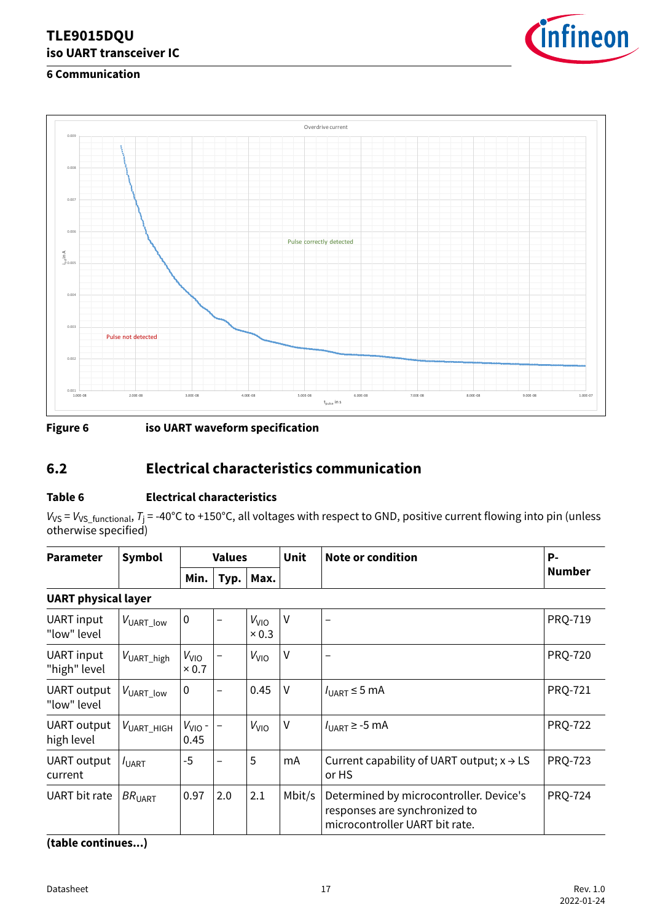

### <span id="page-16-0"></span>**6 Communication**



**Figure 6 iso UART waveform specification**

### **6.2 Electrical characteristics communication**

### **Table 6 Electrical characteristics**

*V*vs = *V*vs\_<sub>functional, *T*j = -40°C to +150°C, all voltages with respect to GND, positive current flowing into pin (unless</sub> otherwise specified)

| <b>Parameter</b> | ' Symbol |      | Values |                                      | Unit | Note or condition | P-     |
|------------------|----------|------|--------|--------------------------------------|------|-------------------|--------|
|                  |          | Min. | Typ.   | $^{\mathrm{+}}$ Max. $_{\mathrm{+}}$ |      |                   | Number |

#### **UART physical layer**

| <b>UART</b> input<br>"low" level | $V_{\mathsf{UART\_low}}$  | $\mathbf 0$               |     | $V_{VIO}$<br>$\times 0.3$ | $\vee$ | $\overline{\phantom{0}}$                                                                                   | <b>PRQ-719</b> |
|----------------------------------|---------------------------|---------------------------|-----|---------------------------|--------|------------------------------------------------------------------------------------------------------------|----------------|
| UART input<br>"high" level       | $V_{\mathsf{UART\_high}}$ | $V_{VIO}$<br>$\times 0.7$ |     | $V_{VIO}$                 | $\vee$ | -                                                                                                          | <b>PRQ-720</b> |
| UART output<br>"low" level       | $V_{\mathsf{UART\_low}}$  | $\mathbf 0$               |     | 0.45                      | $\vee$ | $I_{\text{UART}} \leq 5 \text{ mA}$                                                                        | <b>PRQ-721</b> |
| <b>UART</b> output<br>high level | $V_{\text{UART}}$ HIGH    | $V_{VIO}$ -<br>0.45       |     | V <sub>VIO</sub>          | V      | $I_{\text{UART}}$ ≥ -5 mA                                                                                  | <b>PRQ-722</b> |
| <b>UART</b> output<br>current    | $I_{\text{UART}}$         | $-5$                      |     | 5                         | mA     | Current capability of UART output; $x \rightarrow LS$<br>or HS                                             | <b>PRQ-723</b> |
| <b>UART</b> bit rate             | BR <sub>UART</sub>        | 0.97                      | 2.0 | 2.1                       | Mbit/s | Determined by microcontroller. Device's<br>responses are synchronized to<br>microcontroller UART bit rate. | <b>PRQ-724</b> |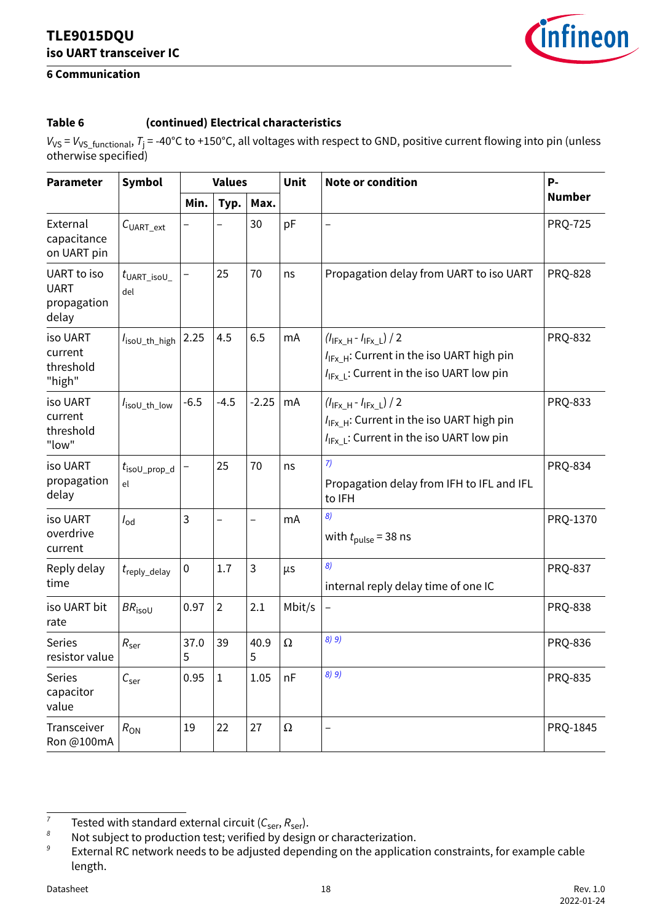

### **6 Communication**

### **Table 6 (continued) Electrical characteristics**

*V*vs = *V*vs\_functional, *T*j = -40°C to +150°C, all voltages with respect to GND, positive current flowing into pin (unless otherwise specified)

| <b>Parameter</b>                                   | Symbol                           | <b>Values</b> |                |           | <b>Unit</b> | <b>Note or condition</b>                                                                                                                       | P-             |
|----------------------------------------------------|----------------------------------|---------------|----------------|-----------|-------------|------------------------------------------------------------------------------------------------------------------------------------------------|----------------|
|                                                    |                                  | Min.          | Typ.           | Max.      |             |                                                                                                                                                | <b>Number</b>  |
| External<br>capacitance<br>on UART pin             | C <sub>UART</sub> ext            |               |                | 30        | pF          |                                                                                                                                                | <b>PRQ-725</b> |
| UART to iso<br><b>UART</b><br>propagation<br>delay | $t_{\text{UART\_isol\_}}$<br>del |               | 25             | 70        | ns          | Propagation delay from UART to iso UART                                                                                                        | <b>PRQ-828</b> |
| iso UART<br>current<br>threshold<br>"high"         | I <sub>isoU_th_high</sub>        | 2.25          | 4.5            | 6.5       | mA          | $(l_{IFX_H} - l_{IFX_L}) / 2$<br>I <sub>IFx H</sub> : Current in the iso UART high pin<br>I <sub>IFx L</sub> : Current in the iso UART low pin | <b>PRQ-832</b> |
| iso UART<br>current<br>threshold<br>"low"          | IsoU_th_low                      | $-6.5$        | $-4.5$         | $-2.25$   | mA          | $(l_{IFX_H} - l_{IFX_L}) / 2$<br>$I_{IFX}$ H: Current in the iso UART high pin<br>I <sub>IFx L</sub> : Current in the iso UART low pin         | <b>PRQ-833</b> |
| iso UART<br>propagation<br>delay                   | $t_{\text{isoU\_prop\_d}}$<br>el |               | 25             | 70        | ns          | 7)<br>Propagation delay from IFH to IFL and IFL<br>to IFH                                                                                      | <b>PRQ-834</b> |
| iso UART<br>overdrive<br>current                   | $I_{\text{od}}$                  | $\mathbf{3}$  |                | —         | mA          | 8)<br>with $t_{\text{pulse}}$ = 38 ns                                                                                                          | PRQ-1370       |
| Reply delay<br>time                                | $t_{\rm reply\_delay}$           | $\pmb{0}$     | 1.7            | 3         | μs          | 8)<br>internal reply delay time of one IC                                                                                                      | <b>PRQ-837</b> |
| iso UART bit<br>rate                               | $BR_{\text{isou}}$               | 0.97          | $\overline{2}$ | 2.1       | Mbit/s      | $\overline{\phantom{0}}$                                                                                                                       | <b>PRQ-838</b> |
| <b>Series</b><br>resistor value                    | $R_{\rm{ser}}$                   | 37.0<br>5     | 39             | 40.9<br>5 | Ω           | 8) 9)                                                                                                                                          | <b>PRQ-836</b> |
| <b>Series</b><br>capacitor<br>value                | $C_{ser}$                        | 0.95          | $\mathbf{1}$   | 1.05      | nF          | 8) 9)                                                                                                                                          | <b>PRQ-835</b> |
| Transceiver<br>Ron @100mA                          | $R_{ON}$                         | 19            | 22             | 27        | $\Omega$    |                                                                                                                                                | PRQ-1845       |

*<sup>7</sup>* Tested with standard external circuit  $(C_{ser}, R_{ser})$ .

*<sup>8</sup>* Not subject to production test; verified by design or characterization.

*<sup>9</sup>* External RC network needs to be adjusted depending on the application constraints, for example cable length.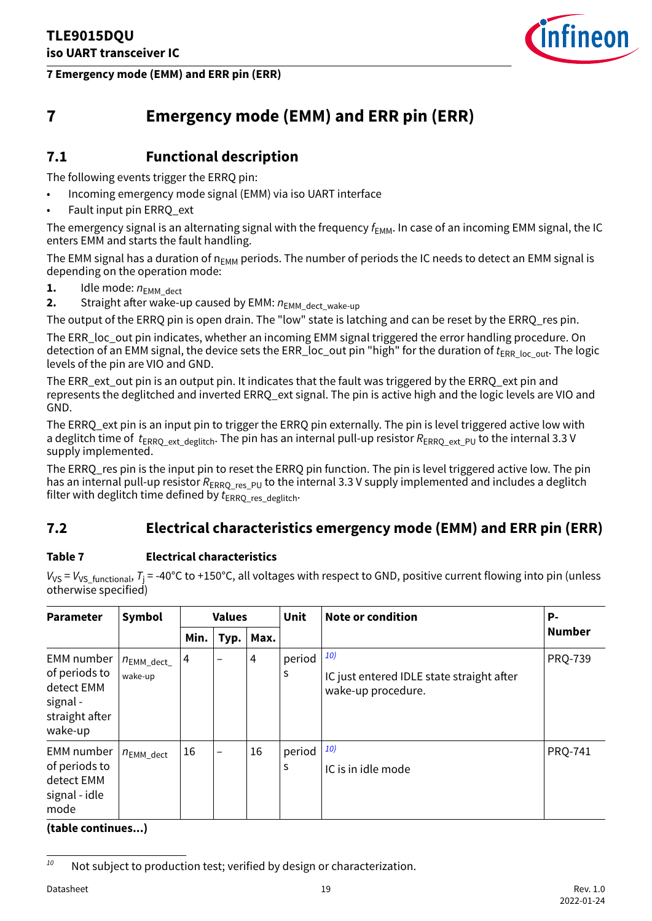

<span id="page-18-0"></span>**7 Emergency mode (EMM) and ERR pin (ERR)**

### **7 Emergency mode (EMM) and ERR pin (ERR)**

### **7.1 Functional description**

The following events trigger the ERRQ pin:

- Incoming emergency mode signal (EMM) via iso UART interface
- Fault input pin ERRQ ext

The emergency signal is an alternating signal with the frequency  $f_{\text{FMM}}$ . In case of an incoming EMM signal, the IC enters EMM and starts the fault handling.

The EMM signal has a duration of  $n_{FMM}$  periods. The number of periods the IC needs to detect an EMM signal is depending on the operation mode:

- **1.** Idle mode:  $n_{EMM\text{ dect}}$
- **2.** Straight after wake-up caused by EMM:  $n_{EMM}$  dect wake-up

The output of the ERRO pin is open drain. The "low" state is latching and can be reset by the ERRO res pin.

The ERR\_loc\_out pin indicates, whether an incoming EMM signal triggered the error handling procedure. On detection of an EMM signal, the device sets the ERR\_loc\_out pin "high" for the duration of *t*<sub>ERR\_loc\_out</sub>. The logic levels of the pin are VIO and GND.

The ERR\_ext\_out pin is an output pin. It indicates that the fault was triggered by the ERRQ\_ext pin and represents the deglitched and inverted ERRQ\_ext signal. The pin is active high and the logic levels are VIO and GND.

The ERRQ\_ext pin is an input pin to trigger the ERRQ pin externally. The pin is level triggered active low with a deglitch time of  $t_{FRRO_{ext}}$  deglitch. The pin has an internal pull-up resistor  $R_{FRRO_{ext}}$ <sub>PU</sub> to the internal 3.3 V supply implemented.

The ERRQ\_res pin is the input pin to reset the ERRQ pin function. The pin is level triggered active low. The pin has an internal pull-up resistor  $R_{ERRQ\_res\_PU}$  to the internal 3.3 V supply implemented and includes a deglitch filter with deglitch time defined by  $t_{ERRO}$  res\_deglitch.

### **7.2 Electrical characteristics emergency mode (EMM) and ERR pin (ERR)**

### **Table 7 Electrical characteristics**

*V*vs = *V*vs\_<sub>functional, *T*j = -40°C to +150°C, all voltages with respect to GND, positive current flowing into pin (unless</sub> otherwise specified)

| <b>Parameter</b>                                                                          | Symbol                                    | <b>Values</b> |      |      | Unit        | <b>Note or condition</b>                                               | Р-             |
|-------------------------------------------------------------------------------------------|-------------------------------------------|---------------|------|------|-------------|------------------------------------------------------------------------|----------------|
|                                                                                           |                                           | Min.          | Typ. | Max. |             |                                                                        | <b>Number</b>  |
| <b>EMM</b> number<br>of periods to<br>detect EMM<br>signal -<br>straight after<br>wake-up | $n_{\text{EMM}\_text{dect}\_}$<br>wake-up | 4             |      | 4    | period<br>S | 10)<br>IC just entered IDLE state straight after<br>wake-up procedure. | <b>PRQ-739</b> |
| <b>EMM</b> number<br>of periods to<br>detect EMM<br>signal - idle<br>mode                 | $n_{\mathsf{EMM\_dect}}$                  | 16            | —    | 16   | period<br>s | 10)<br>IC is in idle mode                                              | <b>PRQ-741</b> |

<sup>&</sup>lt;sup>10</sup> Not subject to production test; verified by design or characterization.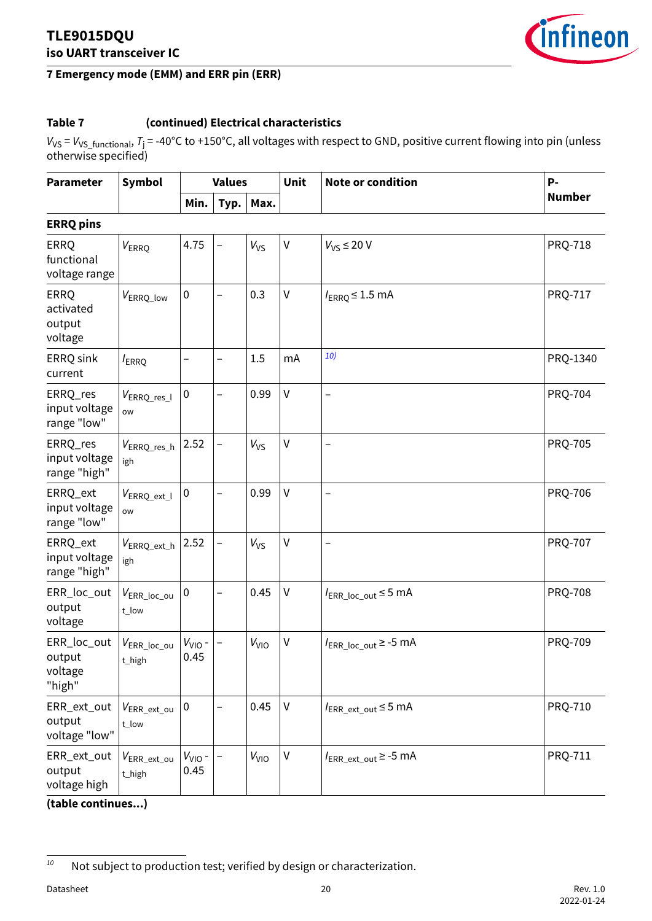

### **7 Emergency mode (EMM) and ERR pin (ERR)**

### **Table 7 (continued) Electrical characteristics**

*V*vs = *V*vs\_functional, *T*j = -40°C to +150°C, all voltages with respect to GND, positive current flowing into pin (unless otherwise specified)

| <b>Parameter</b>                              | <b>Symbol</b>                        |                     | <b>Values</b>            |                        | <b>Unit</b> | <b>Note or condition</b>                      | P-             |
|-----------------------------------------------|--------------------------------------|---------------------|--------------------------|------------------------|-------------|-----------------------------------------------|----------------|
|                                               |                                      | Min.                | Typ.                     | Max.                   |             |                                               | <b>Number</b>  |
| <b>ERRQ pins</b>                              |                                      |                     |                          |                        |             |                                               |                |
| <b>ERRQ</b><br>functional<br>voltage range    | VERRQ                                | 4.75                | $\qquad \qquad -$        | V <sub>VS</sub>        | V           | $V_{VS} \leq 20 V$                            | <b>PRQ-718</b> |
| <b>ERRQ</b><br>activated<br>output<br>voltage | V <sub>ERRQ_low</sub>                | $\pmb{0}$           | $\overline{\phantom{0}}$ | 0.3                    | V           | $I_{ERRO} \leq 1.5$ mA                        | <b>PRQ-717</b> |
| ERRQ sink<br>current                          | <i>I</i> <sub>ERRQ</sub>             | $\qquad \qquad -$   | $\overline{\phantom{0}}$ | 1.5                    | mA          | 10)                                           | PRQ-1340       |
| ERRQ_res<br>input voltage<br>range "low"      | VERRQ_res_l<br>ow                    | $\pmb{0}$           | $\qquad \qquad -$        | 0.99                   | V           | —                                             | <b>PRQ-704</b> |
| ERRQ_res<br>input voltage<br>range "high"     | VERRQ_res_h<br>igh                   | 2.52                | $\overline{\phantom{0}}$ | $V_{VS}$               | V           | $\overline{\phantom{0}}$                      | <b>PRQ-705</b> |
| ERRQ_ext<br>input voltage<br>range "low"      | VERRQ_ext_l<br>ow                    | $\pmb{0}$           | $\overline{\phantom{0}}$ | 0.99                   | $\vee$      | $\overline{\phantom{0}}$                      | <b>PRQ-706</b> |
| ERRQ_ext<br>input voltage<br>range "high"     | $V_{\sf ERRQ\_ext\_h}$<br>igh        | 2.52                | $\qquad \qquad -$        | $V_{VS}$               | V           | $\overline{\phantom{0}}$                      | <b>PRQ-707</b> |
| ERR_loc_out<br>output<br>voltage              | $V_{\sf{ERR\_loc\_ou}}$<br>t_low     | $\pmb{0}$           | $\overline{\phantom{0}}$ | 0.45                   | V           | $I_{ERR\_loc\_out}$ $\leq$ 5 mA               | <b>PRQ-708</b> |
| ERR_loc_out<br>output<br>voltage<br>"high"    | $V_{\sf{ERR\_loc\_ou}}$<br>$t$ _high | $V_{VIO}$ -<br>0.45 | <sup>-</sup>             | V <sub>VIO</sub>       | V           | $I_{\text{ERR\_loc\_out}} \geq -5 \text{ mA}$ | <b>PRQ-709</b> |
| ERR_ext_out<br>output<br>voltage "low"        | $V_{\sf{ERR\_ext\_ou}}$<br>t_low     | $\pmb{0}$           |                          | 0.45                   | V           | $I_{\text{ERR\_ext\_out}} \leq 5 \text{ mA}$  | PRQ-710        |
| ERR_ext_out<br>output<br>voltage high         | $V_{\sf{ERR\_ext\_ou}}$<br>t_high    | $V_{VIO}$ -<br>0.45 |                          | <b>V<sub>VIO</sub></b> | V           | $I_{\text{ERR\_ext\_out}} \ge -5 \text{ mA}$  | PRQ-711        |

*<sup>10</sup>* Not subject to production test; verified by design or characterization.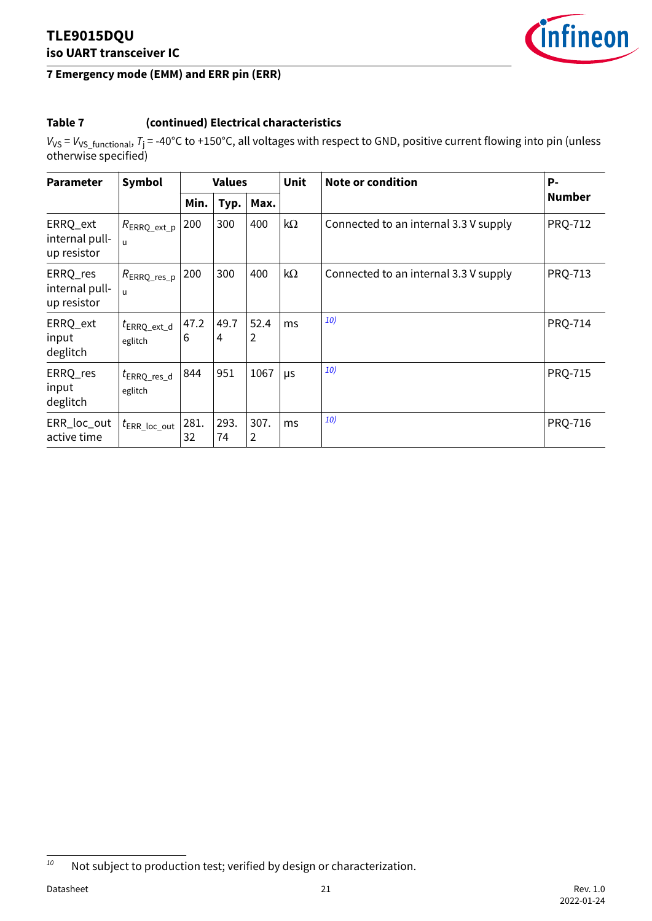

### **7 Emergency mode (EMM) and ERR pin (ERR)**

### **Table 7 (continued) Electrical characteristics**

*V*vs = *V*vs\_functional, *T*j = -40°C to +150°C, all voltages with respect to GND, positive current flowing into pin (unless otherwise specified)

| <b>Parameter</b>                          | Symbol                                    | <b>Values</b> |            |           | <b>Unit</b> | <b>Note or condition</b>              | P-             |
|-------------------------------------------|-------------------------------------------|---------------|------------|-----------|-------------|---------------------------------------|----------------|
|                                           |                                           | Min.          | Typ.       | Max.      |             |                                       | <b>Number</b>  |
| ERRQ_ext<br>internal pull-<br>up resistor | $R_{\text{ERRQ\_ext\_p}}$<br>$\mathbf{u}$ | 200           | 300        | 400       | kΩ          | Connected to an internal 3.3 V supply | <b>PRQ-712</b> |
| ERRQ_res<br>internal pull-<br>up resistor | $R_{\rm ERRQ\_res\_p}$<br>$\mathbf{u}$    | 200           | 300        | 400       | $k\Omega$   | Connected to an internal 3.3 V supply | <b>PRQ-713</b> |
| ERRQ_ext<br>input<br>deglitch             | $t_{\sf ERRQ\_ext\_d}$<br>eglitch         | 47.2<br>6     | 49.7<br>4  | 52.4<br>2 | ms          | <b>10)</b>                            | <b>PRQ-714</b> |
| ERRQ_res<br>input<br>deglitch             | $t_{\text{ERRQ,res_d}}$<br>eglitch        | 844           | 951        | 1067      | μs          | <b>10)</b>                            | <b>PRQ-715</b> |
| ERR_loc_out<br>active time                | $t_{\sf{ERR\_loc\_out}}$                  | 281.<br>32    | 293.<br>74 | 307.<br>2 | ms          | 10)                                   | <b>PRQ-716</b> |

*<sup>10</sup>* Not subject to production test; verified by design or characterization.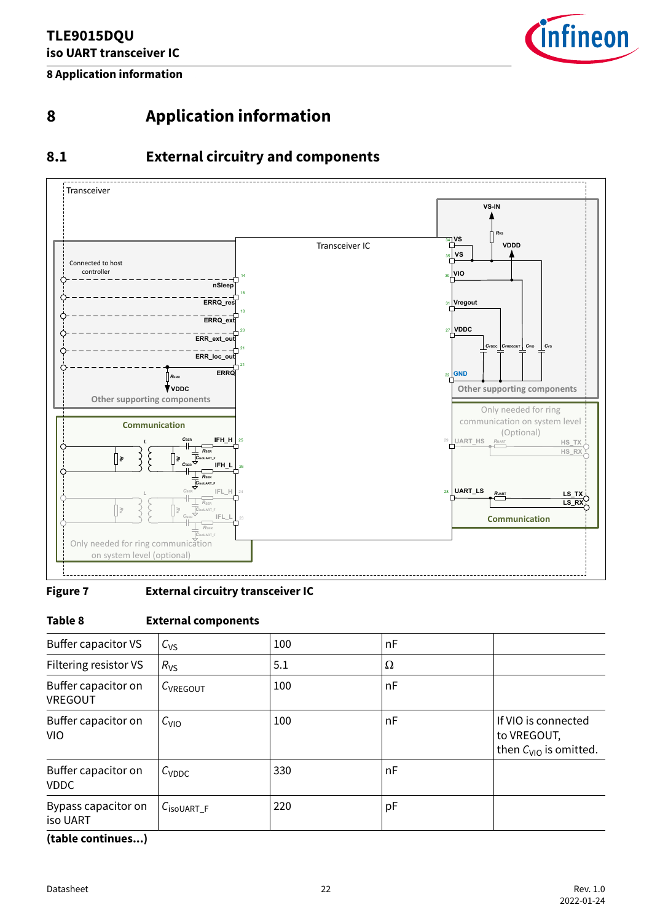

<span id="page-21-0"></span>**8 Application information**

### **8 Application information**

### **8.1 External circuitry and components**



#### **Figure 7 External circuitry transceiver IC**

#### **Table 8 External components**

| Buffer capacitor VS                | $C_{VS}$               | 100 | nF |                                                                  |
|------------------------------------|------------------------|-----|----|------------------------------------------------------------------|
| Filtering resistor VS              | $R_{VS}$               | 5.1 | Ω  |                                                                  |
| Buffer capacitor on<br>VREGOUT     | C <sub>VREGOUT</sub>   | 100 | nF |                                                                  |
| Buffer capacitor on<br><b>VIO</b>  | $C_{VIO}$              | 100 | nF | If VIO is connected<br>to VREGOUT,<br>then $C_{VIO}$ is omitted. |
| Buffer capacitor on<br><b>VDDC</b> | $C_{\text{VDDC}}$      | 330 | nF |                                                                  |
| Bypass capacitor on<br>iso UART    | $C_{\text{isoUART}_F}$ | 220 | рF |                                                                  |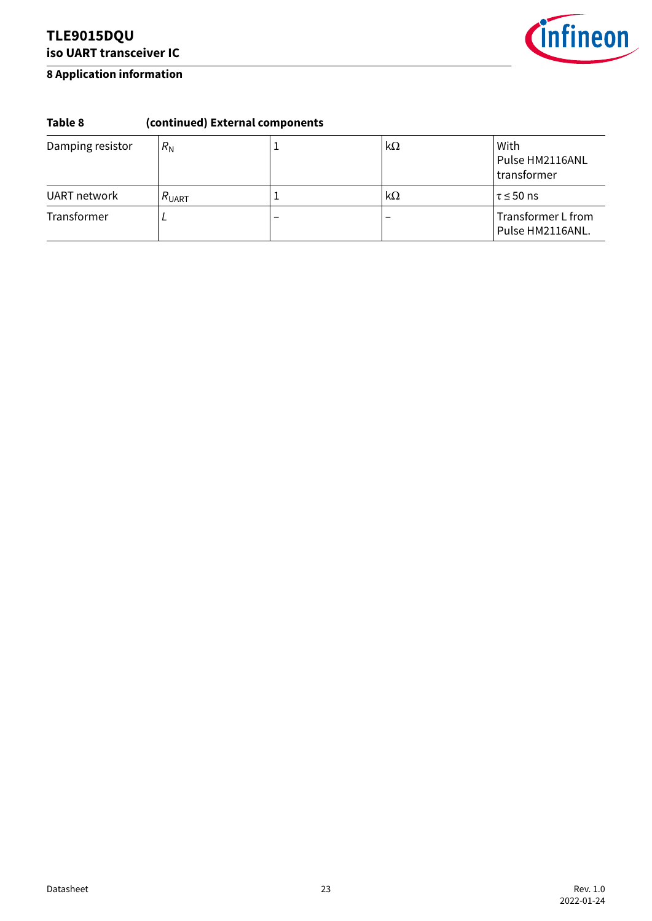

#### **8 Application information**

### **Table 8 (continued) External components**

| Damping resistor | $R_{\rm N}$       |                          | kΩ | With<br>Pulse HM2116ANL<br>transformer |
|------------------|-------------------|--------------------------|----|----------------------------------------|
| UART network     | $R_{\text{UART}}$ |                          | kΩ | $\tau$ $\leq$ 50 ns                    |
| Transformer      |                   | $\overline{\phantom{0}}$ |    | Transformer L from<br>Pulse HM2116ANL. |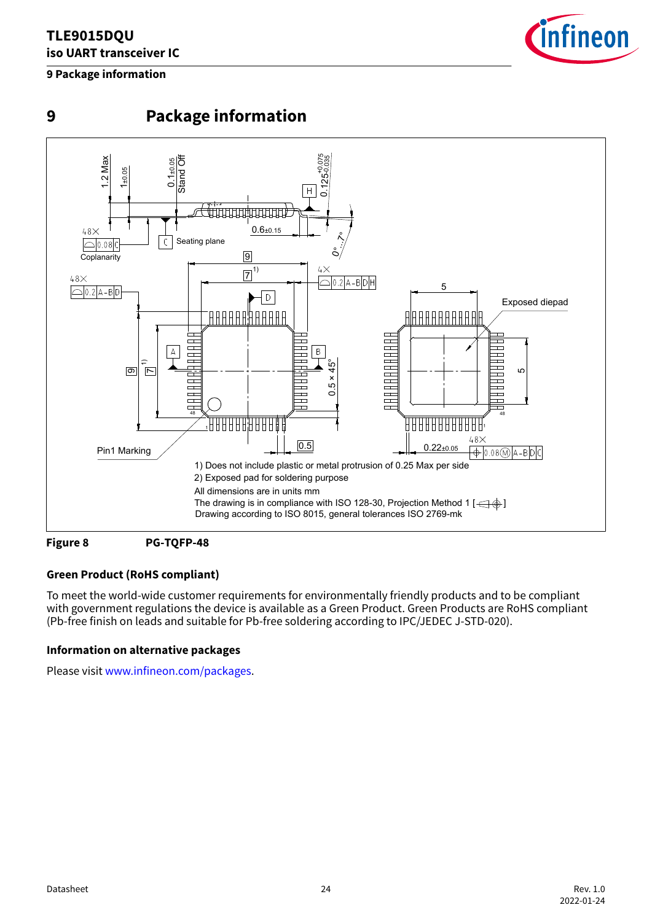### <span id="page-23-0"></span>**9 Package information**



**9 Package information**





### **Green Product (RoHS compliant)**

To meet the world-wide customer requirements for environmentally friendly products and to be compliant with government regulations the device is available as a Green Product. Green Products are RoHS compliant (Pb-free finish on leads and suitable for Pb-free soldering according to IPC/JEDEC J-STD-020).

#### **Information on alternative packages**

Please visit [www.infineon.com/packages](https://www.infineon.com/packages).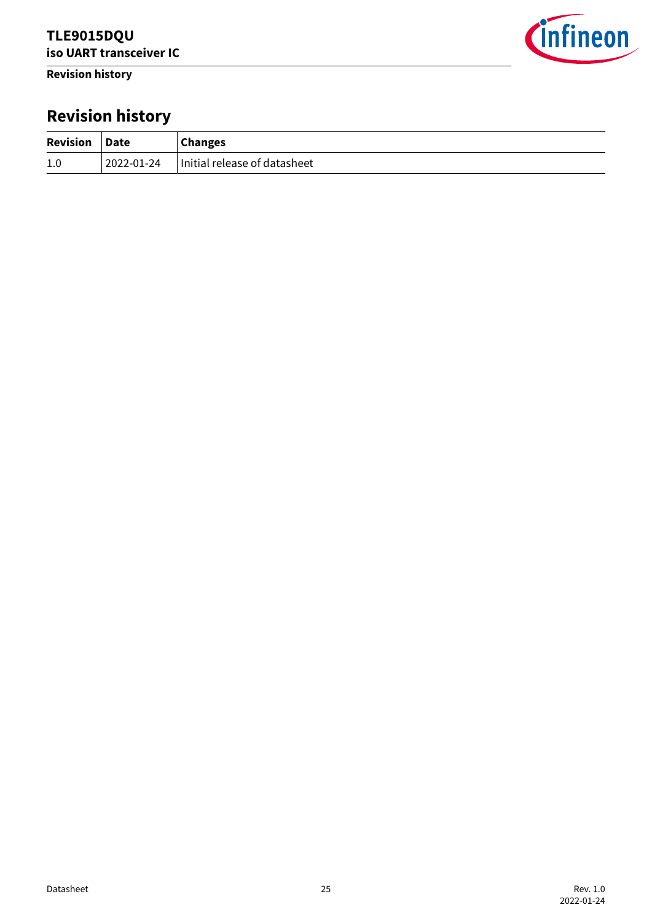<span id="page-24-0"></span>**Revision history**



# **Revision history**

| Revision Date |            | <b>Changes</b>               |
|---------------|------------|------------------------------|
| 1.0           | 2022-01-24 | Initial release of datasheet |